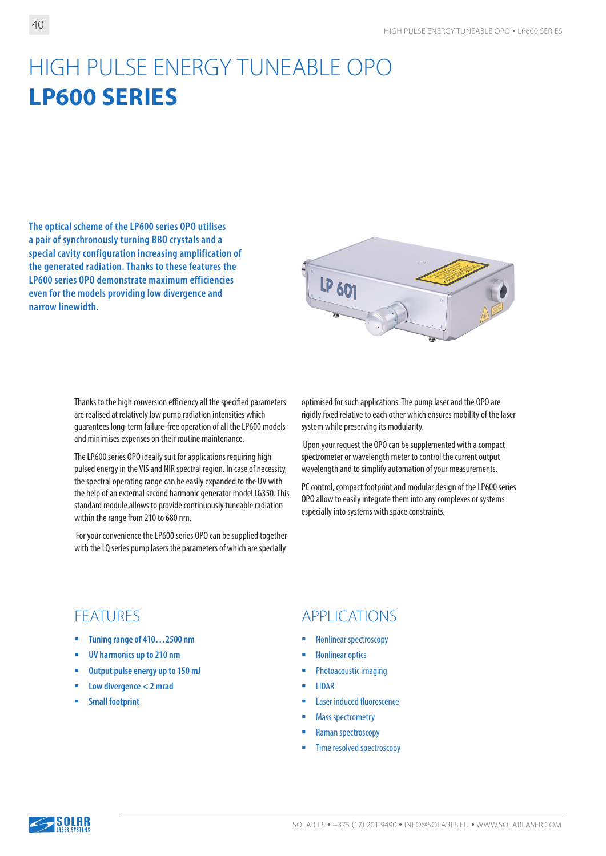# HIGH PULSE ENERGY TUNEABLE OPO **LP600 SERIES**

**The optical scheme of the LP600 series OPO utilises a pair of synchronously turning BBO crystals and a special cavity configuration increasing amplification of the generated radiation. Thanks to these features the LP600 series OPO demonstrate maximum efficiencies even for the models providing low divergence and narrow linewidth.**



Thanks to the high conversion efficiency all the specified parameters are realised at relatively low pump radiation intensities which guarantees long-term failure-free operation of all the LP600 models and minimises expenses on their routine maintenance.

The LP600 series OPO ideally suit for applications requiring high pulsed energy in the VIS and NIR spectral region. In case of necessity, the spectral operating range can be easily expanded to the UV with the help of an external second harmonic generator model LG350. This standard module allows to provide continuously tuneable radiation within the range from 210 to 680 nm.

 For your convenience the LP600 series OPO can be supplied together with the LQ series pump lasers the parameters of which are specially

optimised for such applications. The pump laser and the OPO are rigidly fixed relative to each other which ensures mobility of the laser system while preserving its modularity.

 Upon your request the OPO can be supplemented with a compact spectrometer or wavelength meter to control the current output wavelength and to simplify automation of your measurements.

PC control, compact footprint and modular design of the LP600 series OPO allow to easily integrate them into any complexes or systems especially into systems with space constraints.

- **Tuning range of 410…2500 nm**
- **UV harmonics up to 210 nm**
- **Output pulse energy up to 150 mJ**
- **Low divergence < 2 mrad**
- **Small footprint**

#### FEATURES APPLICATIONS

- Nonlinear spectroscopy
- Nonlinear optics
- **•** Photoacoustic imaging
- $\blacksquare$  IIDAR
- **Laser induced fluorescence**
- Mass spectrometry
- **Raman spectroscopy**
- Time resolved spectroscopy